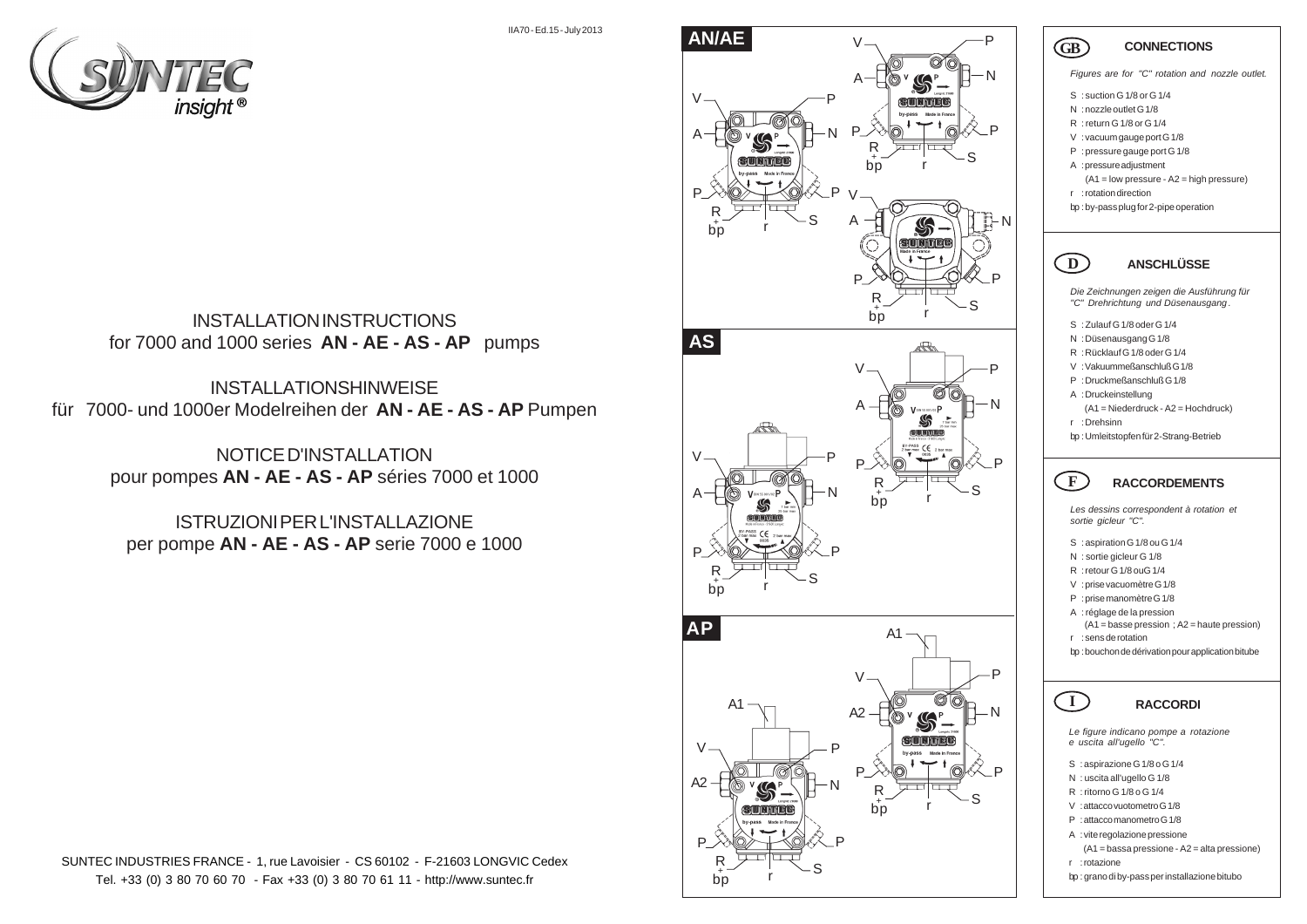

INSTALLATION INSTRUCTIONS for 7000 and 1000 series **AN - AE - AS - AP** pumps

INSTALLATIONSHINWEISE für 7000- und 1000er Modelreihen der **AN - AE - AS - AP** Pumpen

> NOTICE D'INSTALLATION pour pompes **AN - AE - AS - AP** séries 7000 et 1000

ISTRUZIONI PER L'INSTALLAZIONE per pompe **AN - AE - AS - AP** serie 7000 e 1000





# **CONNECTIONS**

*Figures are for "C" rotation and nozzle outlet.*

- S : suction G 1/8 or G 1/4
- N : nozzle outlet G 1/8

GB

- R : return G 1/8 or G 1/4
- V : vacuum gauge port G 1/8
- P : pressure gauge port G 1/8
- A : pressure adjustment
	- (A1 = low pressure A2 = high pressure) r : rotation direction
- bp : by-pass plug for 2-pipe operation

### $\Gamma$ **ANSCHLÜSSE**

*Die Zeichnungen zeigen die Ausführung für "C" Drehrichtung und Düsenausgang .*

- S : Zulauf G 1/8 oder G 1/4
- N : Düsenausgang G 1/8
- R : Rücklauf G 1/8 oder G 1/4
- V : Vakuummeßanschluß G 1/8
- P : Druckmeßanschluß G 1/8
- A : Druckeinstellung
- (A1 = Niederdruck A2 = Hochdruck) r : Drehsinn
- 
- bp : Umleitstopfen für 2-Strang-Betrieb

#### $\sqrt{F}$ **RACCORDEMENTS**

*Les dessins correspondent à rotation et sortie gicleur "C".* **GB** FIX SNRVPA L DP DIV SNRVPA L DP DE L L DP DIV SNRVPA L DP DE L DP DE L DP DE DE SNRVPA L DP DE DE DE DE DE

- S : aspiration G 1/8 ou G 1/4
- N : sortie gicleur G 1/8
- R : retour G 1/8 ouG 1/4
- V : prise vacuomètre G 1/8
- P : prise manomètre G 1/8 A : réglage de la pression
- (A1 = basse pression ; A2 = haute pression)
- r : sens de rotation

 $\Gamma$ 

bp : bouchon de dérivation pour application bitube

# **RACCORDI**

*Le figure indicano pompe a rotazione e uscita all'ugello "C".*

- S : aspirazione G 1/8 o G 1/4
- N : uscita all'ugello G 1/8
- R : ritorno G 1/8 o G 1/4
- V : attacco vuotometro G 1/8
- P : attacco manometro G 1/8
- A : vite regolazione pressione
- (A1 = bassa pressione A2 = alta pressione)
- r : rotazione
- bp : grano di by-pass per installazione bitubo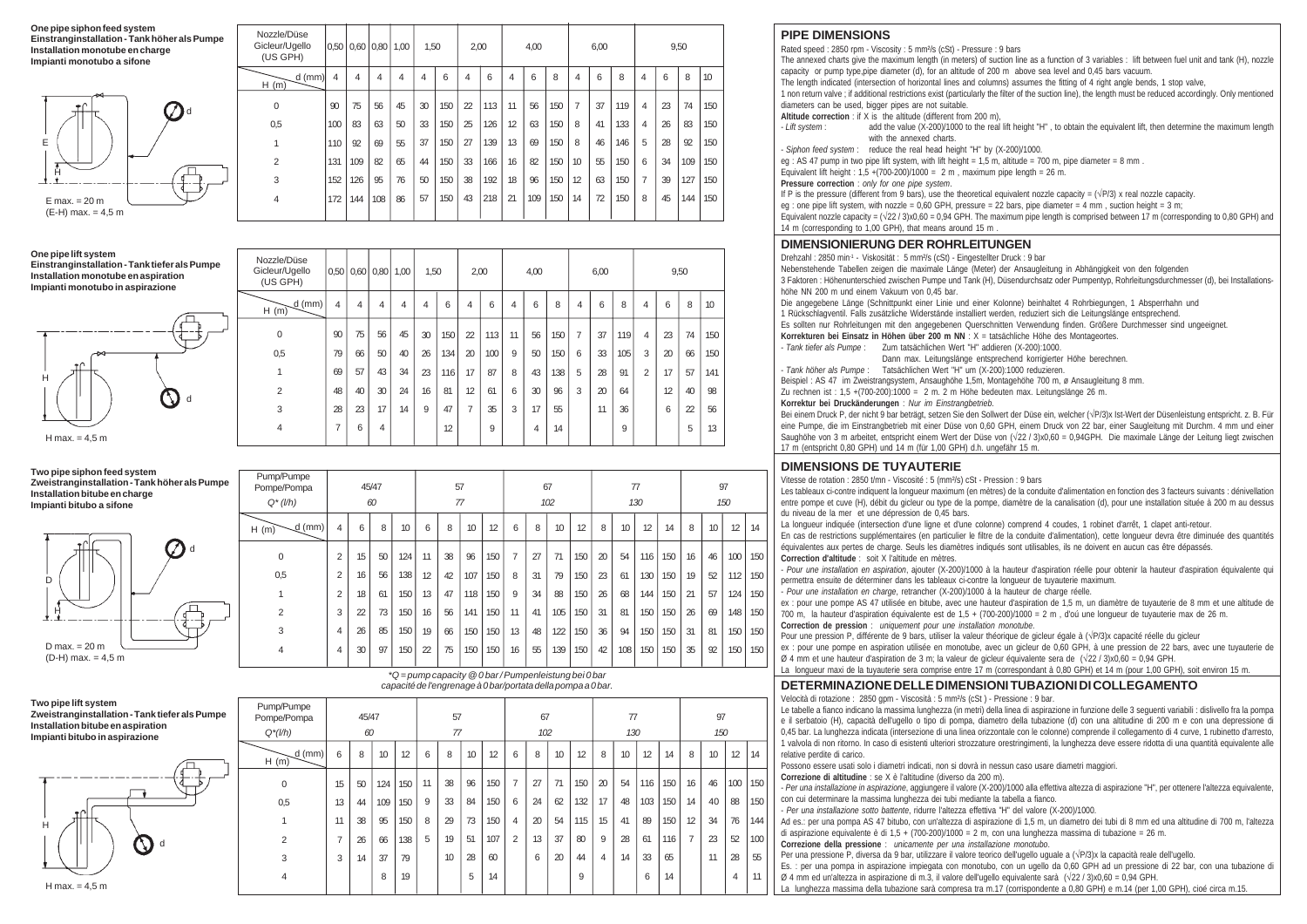**One pipe siphon feed system Einstranginstallation - Tank höher als Pumpe Installation monotube en charge Impianti monotubo a sifone**



### **One pipe lift system Einstranginstallation - Tank tiefer als Pumpe Installation monotube en aspiration Impianti monotubo in aspirazione**



| H(m)                          | $d$ (mm) | 4   | 4   | 4   | 4                         | 4    | 6   | 4              | 6   | $\overline{4}$ | 6    | 8   | $\overline{4}$ | 6    | 8   | 4 | 6  | 8    | 10  |
|-------------------------------|----------|-----|-----|-----|---------------------------|------|-----|----------------|-----|----------------|------|-----|----------------|------|-----|---|----|------|-----|
| 0                             |          | 90  | 75  | 56  | 45                        | 30   | 150 | $\overline{2}$ | 113 | 11             | 56   | 150 | $\overline{7}$ | 37   | 119 | 4 | 23 | 74   | 150 |
| 0,5                           |          | 100 | 83  | 63  | 50                        | 33   | 150 | 25             | 126 | 12             | 63   | 150 | 8              | 41   | 133 | 4 | 26 | 83   | 150 |
| 1                             |          | 110 | 92  | 69  | 55                        | 37   | 150 | 27             | 139 | 13             | 69   | 150 | 8              | 46   | 146 | 5 | 28 | 92   | 150 |
| $\overline{2}$                |          | 131 | 109 | 82  | 65                        | 44   | 150 | 33             | 166 | 16             | 82   | 150 | 10             | 55   | 150 | 6 | 34 | 109  | 150 |
| 3                             |          | 152 | 126 | 95  | 76                        | 50   | 150 | 38             | 192 | 18             | 96   | 150 | 12             | 63   | 150 | 7 | 39 | 127  | 150 |
| $\overline{4}$                |          | 172 | 144 | 108 | 86                        | 57   | 150 | 43             | 218 | 21             | 109  | 150 | 14             | 72   | 150 | 8 | 45 | 144  | 150 |
|                               |          |     |     |     |                           |      |     |                |     |                |      |     |                |      |     |   |    |      |     |
|                               |          |     |     |     |                           |      |     |                |     |                |      |     |                |      |     |   |    |      |     |
| Nozzle/Düse<br>Gicleur/Ugello |          |     |     |     | $0,50$ $0,60$ $0,80$ 1,00 | 1,50 |     | 2,00           |     |                | 4,00 |     |                | 6,00 |     |   |    | 9,50 |     |

0,50 0,60 0,80 1,00 1,50 2,00 4,00 6,00 9,50

| Gicleur/Ugello<br>(US GPH) |    |    | $0.50$ $0.60$ $0.80$ $1.00$ |    | 1,50 |     | 2,00           |     |    | 4,00 |     |   | 6,00 |     |   |    | 9,50           |     |  |
|----------------------------|----|----|-----------------------------|----|------|-----|----------------|-----|----|------|-----|---|------|-----|---|----|----------------|-----|--|
| $-d (mm)$<br>H(m)          | 4  | 4  | 4                           | 4  | 4    | 6   | 4              | 6   | 4  | 6    | 8   | 4 | 6    | 8   | 4 | 6  | 8              | 10  |  |
| 0                          | 90 | 75 | 56                          | 45 | 30   | 150 | $\overline{2}$ | 113 | 11 | 56   | 150 | 7 | 37   | 119 | 4 | 23 | 74             | 150 |  |
| 0,5                        | 79 | 66 | 50                          | 40 | 26   | 134 | 20             | 100 | 9  | 50   | 150 | 6 | 33   | 105 | 3 | 20 | 66             | 150 |  |
|                            | 69 | 57 | 43                          | 34 | 23   | 116 | 17             | 87  | 8  | 43   | 138 | 5 | 28   | 91  | 2 | 17 | 57             | 141 |  |
| $\overline{2}$             | 48 | 40 | 30                          | 24 | 16   | 81  | 12             | 61  | 6  | 30   | 96  | 3 | 20   | 64  |   | 12 | 40             | 98  |  |
| 3                          | 28 | 23 | 17                          | 14 | 9    | 47  | $\overline{7}$ | 35  | 3  | 17   | 55  |   | 11   | 36  |   | 6  | $\overline{2}$ | 56  |  |
| 4                          | 7  | 6  | $\overline{4}$              |    |      | 12  |                | 9   |    | 4    | 14  |   |      | 9   |   |    | 5              | 13  |  |
|                            |    |    |                             |    |      |     |                |     |    |      |     |   |      |     |   |    |                |     |  |

**Two pipe siphon feed system Zweistranginstallation - Tank höher als Pumpe Installation bitube en charge Impianti bitubo a sifone**



| Pompe/Pompa      | 45/47          |                 |    | 57  |    |    | 67  |     |    |    | 77  |     |    |     | 97  |     |    |    |     |     |
|------------------|----------------|-----------------|----|-----|----|----|-----|-----|----|----|-----|-----|----|-----|-----|-----|----|----|-----|-----|
| $Q^*(l/h)$       |                |                 | 60 |     | 77 |    |     | 102 |    |    |     |     |    | 130 |     | 150 |    |    |     |     |
| $d$ (mm)<br>H(m) | 4              | 6               | 8  | 10  | 6  | 8  | 10  | 12  | 6  | 8  | 10  | 12  | 8  | 10  | 12  | 14  | 8  | 10 | 12  | 14  |
| 0                | $\overline{2}$ | 15              | 50 | 124 | 11 | 38 | 96  | 150 | 7  | 27 | 71  | 150 | 20 | 54  | 116 | 150 | 16 | 46 | 100 | 150 |
| 0,5              | 2              | 16              | 56 | 138 | 12 | 42 | 107 | 150 | 8  | 31 | 79  | 150 | 23 | 61  | 130 | 150 | 19 | 52 | 112 | 150 |
|                  | $\overline{2}$ | 18              | 61 | 150 | 13 | 47 | 118 | 150 | 9  | 34 | 88  | 150 | 26 | 68  | 144 | 150 | 21 | 57 | 124 | 150 |
| 2                | 3              | $\overline{22}$ | 73 | 150 | 16 | 56 | 141 | 150 | 11 | 41 | 105 | 150 | 31 | 81  | 150 | 150 | 26 | 69 | 148 | 150 |
| 3                | 4              | 26              | 85 | 150 | 19 | 66 | 150 | 150 | 13 | 48 | 122 | 150 | 36 | 94  | 150 | 150 | 31 | 81 | 150 | 150 |
| 4                | 4              | 30              | 97 | 150 | 22 | 75 | 150 | 150 | 16 | 55 | 139 | 150 | 42 | 108 | 150 | 150 | 35 | 92 | 150 | 150 |
|                  |                |                 |    |     |    |    |     |     |    |    |     |     |    |     |     |     |    |    |     |     |

| Two pipe lift system                           |
|------------------------------------------------|
| Zweistranginstallation - Tank tiefer als Pumpe |
| Installation bitube en aspiration              |
| Impianti bitubo in aspirazione                 |



|                                         | capacité de l'engrenage à 0 bar/portata della pompa a 0 bar. |             |     |     |          |    |    |           |                |    |    |           |                |    |     |           |                |    |                |     |
|-----------------------------------------|--------------------------------------------------------------|-------------|-----|-----|----------|----|----|-----------|----------------|----|----|-----------|----------------|----|-----|-----------|----------------|----|----------------|-----|
| Pump/Pumpe<br>Pompe/Pompa<br>$Q^*(l/h)$ |                                                              | 45/47<br>60 |     |     | 57<br>77 |    |    | 67<br>102 |                |    |    | 77<br>130 |                |    |     | 97<br>150 |                |    |                |     |
| d (mm)                                  | 6                                                            | 8           | 10  | 12  | 6        | 8  | 10 | 12        | 6              | 8  | 10 | 12        | 8              | 10 | 12  | 14        | 8              | 10 | 12             | 14  |
| H(m)                                    |                                                              |             |     |     |          |    |    |           |                |    |    |           |                |    |     |           |                |    |                |     |
| 0                                       | 15                                                           | 50          | 124 | 150 | 11       | 38 | 96 | 150       | $\overline{7}$ | 27 | 71 | 150       | 20             | 54 | 116 | 150       | 16             | 46 | 100            | 150 |
| 0,5                                     | 13                                                           | 44          | 109 | 150 | 9        | 33 | 84 | 150       | 6              | 24 | 62 | 132       | 17             | 48 | 103 | 150       | 14             | 40 | 88             | 150 |
| 1                                       | 11                                                           | 38          | 95  | 150 | 8        | 29 | 73 | 150       | 4              | 20 | 54 | 115       | 15             | 41 | 89  | 150       | 12             | 34 | 76             | 144 |
| $\overline{2}$                          | $\overline{7}$                                               | 26          | 66  | 138 | 5        | 19 | 51 | 107       | $\overline{2}$ | 13 | 37 | 80        | 9              | 28 | 61  | 116       | $\overline{7}$ | 23 | 52             | 100 |
| 3                                       | 3                                                            | 14          | 37  | 79  |          | 10 | 28 | 60        |                | 6  | 20 | 44        | $\overline{4}$ | 14 | 33  | 65        |                | 11 | 28             | 55  |
| 4                                       |                                                              |             | 8   | 19  |          |    | 5  | 14        |                |    |    | 9         |                |    | 6   | 14        |                |    | $\overline{4}$ | 11  |

*\*Q = pump capacity @ 0 bar / Pumpenleistung bei 0 bar*

## **PIPE DIMENSIONS**

Rated speed : 2850 rpm - Viscosity : 5 mm²/s (cSt) - Pressure : 9 bars

The annexed charts give the maximum length (in meters) of suction line as a function of 3 variables : lift between fuel unit and tank (H), nozzle capacity or pump type,pipe diameter (d), for an altitude of 200 m above sea level and 0,45 bars vacuum.

The length indicated (intersection of horizontal lines and columns) assumes the fitting of 4 right angle bends, 1 stop valve,

1 non return valve ; if additional restrictions exist (particularly the filter of the suction line), the length must be reduced accordingly. Only mentioned diameters can be used, bigger pipes are not suitable.

**Altitude correction** : if X is the altitude (different from 200 m), *I ift system* 

- *Lift system* : add the value (X-200)/1000 to the real lift height "H" , to obtain the equivalent lift, then determine the maximum length with the annexed charts.

- *Siphon feed system* : reduce the real head height "H" by (X-200)/1000.

eg : AS 47 pump in two pipe lift system, with lift height = 1.5 m, altitude = 700 m, pipe diameter = 8 mm

Equivalent lift height :  $1.5 + (700-200)/1000 = 2$  m , maximum pipe length = 26 m.

**Pressure correction** : *only for one pipe system*.

If P is the pressure (different from 9 bars), use the theoretical equivalent nozzle capacity =  $(\sqrt{P/3})$  x real nozzle capacity.

eg : one pipe lift system, with nozzle = 0,60 GPH, pressure = 22 bars, pipe diameter = 4 mm , suction height = 3 m;

Equivalent nozzle capacity =  $(\sqrt{22}/3)x0.60 = 0.94$  GPH. The maximum pipe length is comprised between 17 m (corresponding to 0.80 GPH) and 14 m (corresponding to 1,00 GPH), that means around 15 m .

## **DIMENSIONIERUNG DER ROHRLEITUNGEN**

Drehzahl : 2850 min<sup>-1</sup> - Viskosität : 5 mm<sup>2</sup>/s (cSt) - Eingestellter Druck : 9 bar

Nebenstehende Tabellen zeigen die maximale Länge (Meter) der Ansaugleitung in Abhängigkeit von den folgenden 3 Faktoren : Höhenunterschied zwischen Pumpe und Tank (H), Düsendurchsatz oder Pumpentyp, Rohrleitungsdurchmesser (d), bei Installationshöhe NN 200 m und einem Vakuum von 0,45 bar.

Die angegebene Länge (Schnittpunkt einer Linie und einer Kolonne) beinhaltet 4 Rohrbiegungen, 1 Absperrhahn und

1 Rückschlagventil. Falls zusätzliche Widerstände installiert werden, reduziert sich die Leitungslänge entsprechend.

Es sollten nur Rohrleitungen mit den angegebenen Querschnitten Verwendung finden. Größere Durchmesser sind ungeeignet.

**Korrekturen bei Einsatz in Höhen über 200 m NN** : X = tatsächliche Höhe des Montageortes. - *Tank tiefer als Pumpe* : Zum tatsächlichen Wert "H" addieren (X-200):1000.

Dann max. Leitungslänge entsprechend korrigierter Höhe berechnen. - *Tank höher als Pumpe* : Tatsächlichen Wert "H" um (X-200):1000 reduzieren.

Beispiel : AS 47 im Zweistrangsystem, Ansaughöhe 1,5m, Montagehöhe 700 m, ø Ansaugleitung 8 mm.

Zu rechnen ist : 1,5 +(700-200):1000 = 2 m. 2 m Höhe bedeuten max. Leitungslänge 26 m.

**Korrektur bei Druckänderungen** : *Nur im Einstrangbetrieb*.

Bei einem Druck P, der nicht 9 bar beträgt, setzen Sie den Sollwert der Düse ein, welcher (√P/3)x Ist-Wert der Düsenleistung entspricht. z. B. Für eine Pumpe, die im Einstrangbetrieb mit einer Düse von 0,60 GPH, einem Druck von 22 bar, einer Saugleitung mit Durchm. 4 mm und einer Saughöhe von 3 m arbeitet, entspricht einem Wert der Düse von (√22 / 3)x0,60 = 0,94GPH. Die maximale Länge der Leitung liegt zwischen 17 m (entspricht 0,80 GPH) und 14 m (für 1,00 GPH) d.h. ungefähr 15 m.

## **DIMENSIONS DE TUYAUTERIE**

Vitesse de rotation : 2850 t/mn - Viscosité : 5 (mm²/s) cSt - Pression : 9 bars

Les tableaux ci-contre indiquent la longueur maximum (en mètres) de la conduite d'alimentation en fonction des 3 facteurs suivants : dénivellation entre pompe et cuve (H), débit du gicleur ou type de la pompe, diamètre de la canalisation (d), pour une installation située à 200 m au dessus du niveau de la mer et une dépression de 0,45 bars.

La longueur indiquée (intersection d'une ligne et d'une colonne) comprend 4 coudes, 1 robinet d'arrêt, 1 clapet anti-retour.

En cas de restrictions supplémentaires (en particulier le filtre de la conduite d'alimentation), cette longueur devra être diminuée des quantités équivalentes aux pertes de charge. Seuls les diamètres indiqués sont utilisables, ils ne doivent en aucun cas être dépassés. **Correction d'altitude** : soit X l'altitude en mètres.

- *Pour une installation en aspiration*, ajouter (X-200)/1000 à la hauteur d'aspiration réelle pour obtenir la hauteur d'aspiration équivalente qui permettra ensuite de déterminer dans les tableaux ci-contre la longueur de tuyauterie maximum.

- *Pour une installation en charge*, retrancher (X-200)/1000 à la hauteur de charge réelle.

ex : pour une pompe AS 47 utilisée en bitube, avec une hauteur d'aspiration de 1,5 m, un diamètre de tuyauterie de 8 mm et une altitude de 700 m, la hauteur d'aspiration équivalente est de 1,5 + (700-200)/1000 = 2 m , d'oú une longueur de tuyauterie max de 26 m. **Correction de pression** : *uniquement pour une installation monotube*.

Pour une pression P, différente de 9 bars, utiliser la valeur théorique de gicleur égale à (√P/3)x capacité réelle du gicleur

ex : pour une pompe en aspiration utilisée en monotube, avec un gicleur de 0,60 GPH, à une pression de 22 bars, avec une tuyauterie de Ø 4 mm et une hauteur d'aspiration de 3 m; la valeur de gicleur équivalente sera de (√22 / 3)x0,60 = 0,94 GPH.

La longueur maxi de la tuyauterie sera comprise entre 17 m (correspondant à 0,80 GPH) et 14 m (pour 1,00 GPH), soit environ 15 m.

## **DETERMINAZIONE DELLE DIMENSIONI TUBAZIONI DI COLLEGAMENTO**

Velocità di rotazione : 2850 gpm - Viscosità : 5 mm²/s (cSt ) - Pressione : 9 bar.

Le tabelle a fianco indicano la massima lunghezza (in metri) della linea di aspirazione in funzione delle 3 seguenti variabili : dislivello fra la pompa e il serbatoio (H), capacità dell'ugello o tipo di pompa, diametro della tubazione (d) con una altitudine di 200 m e con una depressione di 0,45 bar. La lunghezza indicata (intersezione di una linea orizzontale con le colonne) comprende il collegamento di 4 curve, 1 rubinetto d'arresto, 1 valvola di non ritorno. In caso di esistenti ulteriori strozzature orestringimenti, la lunghezza deve essere ridotta di una quantità equivalente alle relative perdite di carico.

Possono essere usati solo i diametri indicati, non si dovrà in nessun caso usare diametri maggiori.

**Correzione di altitudine** : se X è l'altitudine (diverso da 200 m).

- *Per una installazione in aspirazione*, aggiungere il valore (X-200)/1000 alla effettiva altezza di aspirazione "H", per ottenere l'altezza equivalente, con cui determinare la massima lunghezza dei tubi mediante la tabella a fianco.

- *Per una installazione sotto battente*, ridurre l'altezza effettiva "H" del valore (X-200)/1000.

Ad es.: per una pompa AS 47 bitubo, con un'altezza di aspirazione di 1,5 m, un diametro dei tubi di 8 mm ed una altitudine di 700 m, l'altezza di aspirazione equivalente è di 1,5 + (700-200)/1000 = 2 m, con una lunghezza massima di tubazione = 26 m.

**Correzione della pressione** : *unicamente per una installazione monotubo*.

Per una pressione P, diversa da 9 bar, utilizzare il valore teorico dell'ugello uguale a (√P/3)x la capacità reale dell'ugello.

Es. : per una pompa in aspirazione impiegata con monotubo, con un ugello da 0,60 GPH ad un pressione di 22 bar, con una tubazione di

Ø 4 mm ed un'altezza in aspirazione di m.3, il valore dell'ugello equivalente sarà (√22 / 3)x0,60 = 0,94 GPH.

La lunghezza massima della tubazione sarà compresa tra m.17 (corrispondente a 0,80 GPH) e m.14 (per 1,00 GPH), cioé circa m.15.

| טעוווטו נפוס וטוווטוו | Pompe/Pompa      |                |    | 45/47 |  |
|-----------------------|------------------|----------------|----|-------|--|
|                       | $Q^*(l/h)$       |                |    | 60    |  |
|                       | $d$ (mm)<br>H(m) | 4              | 6  | 8     |  |
| d<br>$\mathcal{L}^+$  | 0                | $\overline{2}$ | 15 | 50    |  |
|                       | 0,5              | $\overline{2}$ | 16 | 56    |  |
|                       |                  | $\overline{2}$ | 18 | 61    |  |
|                       |                  |                |    |       |  |

Pump/Pumpe

Nozzle/Düse Gicleur/Ugello (US GPH)